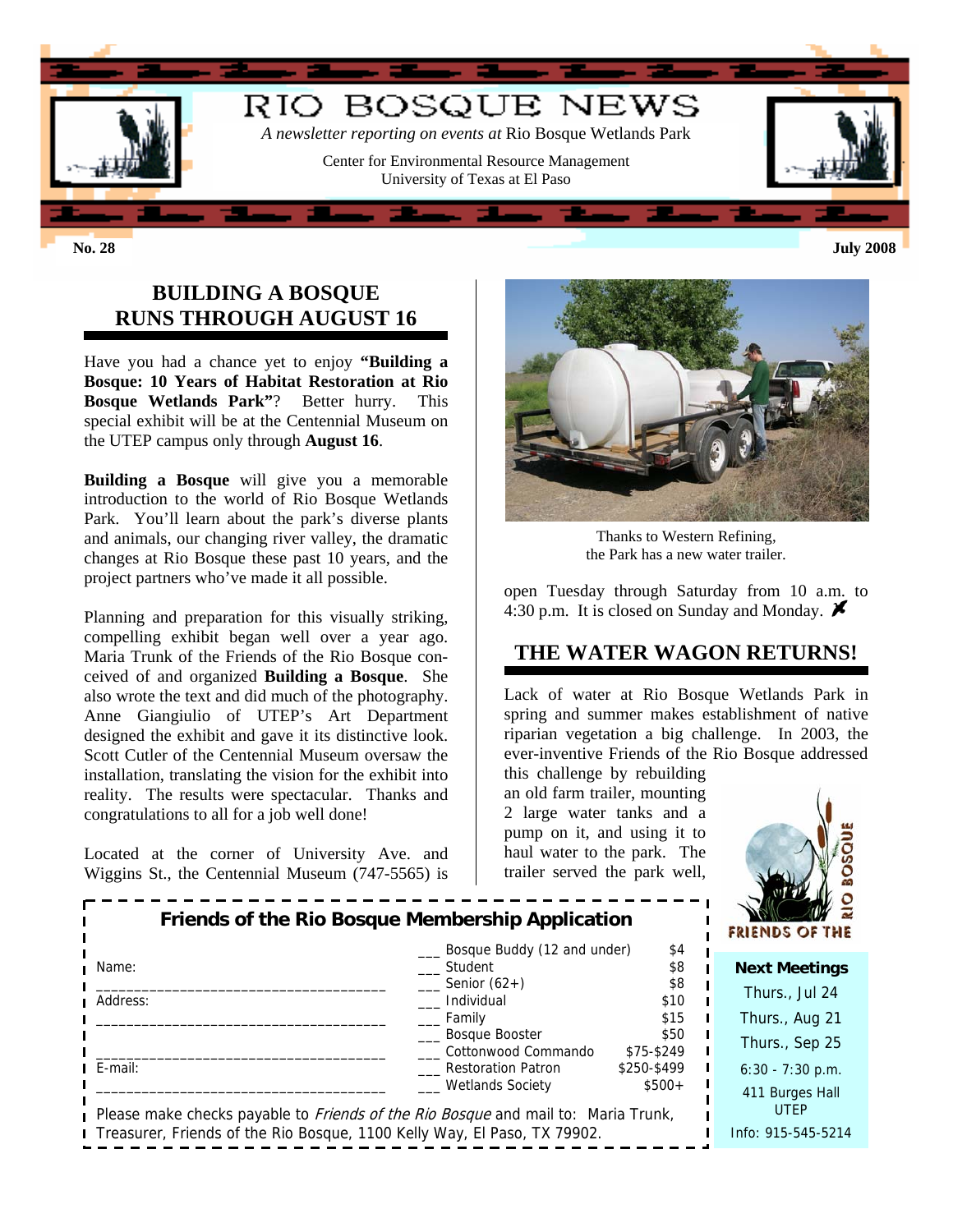

## **BUILDING A BOSQUE RUNS THROUGH AUGUST 16**

Have you had a chance yet to enjoy **"Building a Bosque: 10 Years of Habitat Restoration at Rio Bosque Wetlands Park"**? Better hurry. This special exhibit will be at the Centennial Museum on the UTEP campus only through **August 16**.

**Building a Bosque** will give you a memorable introduction to the world of Rio Bosque Wetlands Park. You'll learn about the park's diverse plants and animals, our changing river valley, the dramatic changes at Rio Bosque these past 10 years, and the project partners who've made it all possible.

Planning and preparation for this visually striking, compelling exhibit began well over a year ago. Maria Trunk of the Friends of the Rio Bosque conceived of and organized **Building a Bosque**. She also wrote the text and did much of the photography. Anne Giangiulio of UTEP's Art Department designed the exhibit and gave it its distinctive look. Scott Cutler of the Centennial Museum oversaw the installation, translating the vision for the exhibit into reality. The results were spectacular. Thanks and congratulations to all for a job well done!

Located at the corner of University Ave. and Wiggins St., the Centennial Museum (747-5565) is



Thanks to Western Refining, the Park has a new water trailer.

open Tuesday through Saturday from 10 a.m. to 4:30 p.m. It is closed on Sunday and Monday.  $\blacktriangleright$ 

# **THE WATER WAGON RETURNS!**

Lack of water at Rio Bosque Wetlands Park in spring and summer makes establishment of native riparian vegetation a big challenge. In 2003, the ever-inventive Friends of the Rio Bosque addressed

this challenge by rebuilding an old farm trailer, mounting 2 large water tanks and a pump on it, and using it to haul water to the park. The trailer served the park well,



| Friends of the RIO Bosque Membership Application                                                                               |                                                          |                    |  | <b>FRIENDS OF THE</b>          |
|--------------------------------------------------------------------------------------------------------------------------------|----------------------------------------------------------|--------------------|--|--------------------------------|
| ∎ Name:                                                                                                                        | Bosque Buddy (12 and under)<br>Student<br>Senior $(62+)$ | \$4<br>\$8<br>\$8  |  | <b>Next Meetings</b>           |
| Address:                                                                                                                       | Individual                                               | \$10               |  | Thurs., Jul 24                 |
|                                                                                                                                | Family                                                   | \$15               |  | Thurs., Aug 21                 |
|                                                                                                                                | <b>Bosque Booster</b><br>Cottonwood Commando             | \$50<br>\$75-\$249 |  | Thurs., Sep 25                 |
| $I$ E-mail:                                                                                                                    | <b>Restoration Patron</b>                                | \$250-\$499        |  | $6:30 - 7:30$ p.m.             |
| <b>Wetlands Society</b><br>$$500+$<br>Please make checks payable to <i>Friends of the Rio Bosque</i> and mail to: Maria Trunk, |                                                          |                    |  | 411 Burges Hall<br><b>UTEP</b> |
| I Treasurer, Friends of the Rio Bosque, 1100 Kelly Way, El Paso, TX 79902.                                                     |                                                          |                    |  | Info: 915-545-5214             |

**Friends of the Rio Bosque Membership Application**